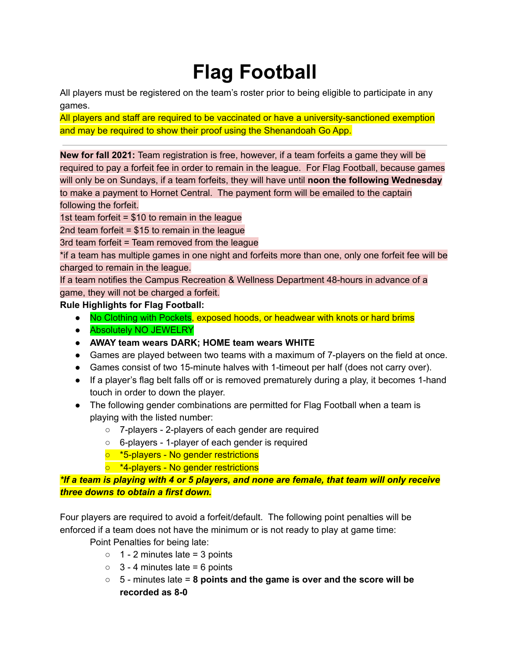## **Flag Football**

All players must be registered on the team's roster prior to being eligible to participate in any games.

All players and staff are required to be vaccinated or have a university-sanctioned exemption and may be required to show their proof using the Shenandoah Go App.

**New for fall 2021:** Team registration is free, however, if a team forfeits a game they will be required to pay a forfeit fee in order to remain in the league. For Flag Football, because games will only be on Sundays, if a team forfeits, they will have until **noon the following Wednesday** to make a payment to Hornet Central. The payment form will be emailed to the captain following the forfeit.

1st team forfeit = \$10 to remain in the league

2nd team forfeit  $= $15$  to remain in the league

3rd team forfeit = Team removed from the league

\*if a team has multiple games in one night and forfeits more than one, only one forfeit fee will be charged to remain in the league.

If a team notifies the Campus Recreation & Wellness Department 48-hours in advance of a game, they will not be charged a forfeit.

**Rule Highlights for Flag Football:**

- No Clothing with Pockets, exposed hoods, or headwear with knots or hard brims
- **Absolutely NO JEWELRY**
- **● AWAY team wears DARK; HOME team wears WHITE**
- Games are played between two teams with a maximum of 7-players on the field at once.
- Games consist of two 15-minute halves with 1-timeout per half (does not carry over).
- If a player's flag belt falls off or is removed prematurely during a play, it becomes 1-hand touch in order to down the player.
- The following gender combinations are permitted for Flag Football when a team is playing with the listed number:
	- 7-players 2-players of each gender are required
	- 6-players 1-player of each gender is required
	- \*5-players No gender restrictions
	- \*4-players No gender restrictions

*\*If a team is playing with 4 or 5 players, and none are female, that team will only receive three downs to obtain a first down.*

Four players are required to avoid a forfeit/default. The following point penalties will be enforced if a team does not have the minimum or is not ready to play at game time:

Point Penalties for being late:

- $\circ$  1 2 minutes late = 3 points
- $\circ$  3 4 minutes late = 6 points
- 5 minutes late = **8 points and the game is over and the score will be recorded as 8-0**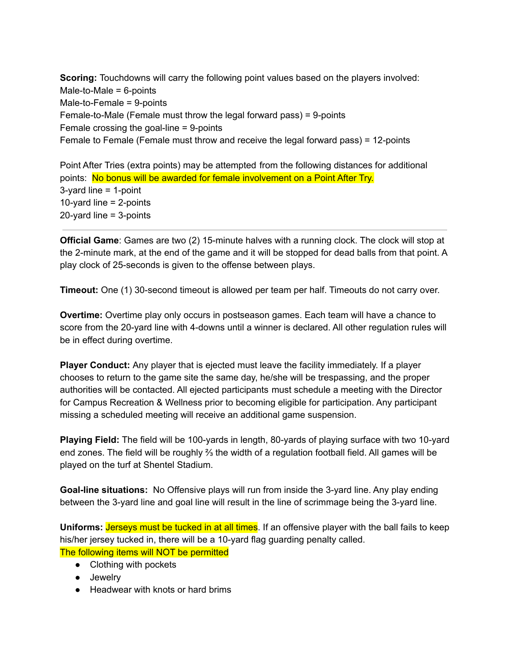**Scoring:** Touchdowns will carry the following point values based on the players involved: Male-to-Male  $= 6$ -points Male-to-Female = 9-points Female-to-Male (Female must throw the legal forward pass) = 9-points Female crossing the goal-line = 9-points Female to Female (Female must throw and receive the legal forward pass) = 12-points

Point After Tries (extra points) may be attempted from the following distances for additional points: No bonus will be awarded for female involvement on a Point After Try. 3-yard line = 1-point 10-yard line  $= 2$ -points 20-yard line = 3-points

**Official Game**: Games are two (2) 15-minute halves with a running clock. The clock will stop at the 2-minute mark, at the end of the game and it will be stopped for dead balls from that point. A play clock of 25-seconds is given to the offense between plays.

**Timeout:** One (1) 30-second timeout is allowed per team per half. Timeouts do not carry over.

**Overtime:** Overtime play only occurs in postseason games. Each team will have a chance to score from the 20-yard line with 4-downs until a winner is declared. All other regulation rules will be in effect during overtime.

**Player Conduct:** Any player that is ejected must leave the facility immediately. If a player chooses to return to the game site the same day, he/she will be trespassing, and the proper authorities will be contacted. All ejected participants must schedule a meeting with the Director for Campus Recreation & Wellness prior to becoming eligible for participation. Any participant missing a scheduled meeting will receive an additional game suspension.

**Playing Field:** The field will be 100-yards in length, 80-yards of playing surface with two 10-yard end zones. The field will be roughly ⅔ the width of a regulation football field. All games will be played on the turf at Shentel Stadium.

**Goal-line situations:** No Offensive plays will run from inside the 3-yard line. Any play ending between the 3-yard line and goal line will result in the line of scrimmage being the 3-yard line.

**Uniforms: Jerseys must be tucked in at all times.** If an offensive player with the ball fails to keep his/her jersey tucked in, there will be a 10-yard flag guarding penalty called. The following items will NOT be permitted

- Clothing with pockets
- Jewelry
- Headwear with knots or hard brims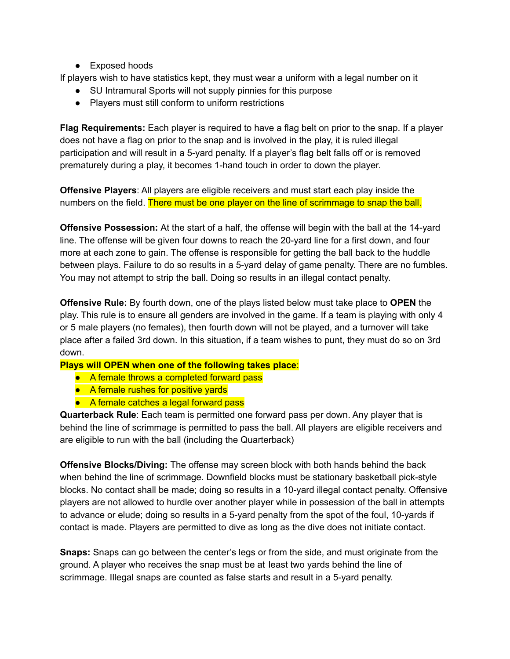• Exposed hoods

If players wish to have statistics kept, they must wear a uniform with a legal number on it

- SU Intramural Sports will not supply pinnies for this purpose
- Players must still conform to uniform restrictions

**Flag Requirements:** Each player is required to have a flag belt on prior to the snap. If a player does not have a flag on prior to the snap and is involved in the play, it is ruled illegal participation and will result in a 5-yard penalty. If a player's flag belt falls off or is removed prematurely during a play, it becomes 1-hand touch in order to down the player.

**Offensive Players**: All players are eligible receivers and must start each play inside the numbers on the field. There must be one player on the line of scrimmage to snap the ball.

**Offensive Possession:** At the start of a half, the offense will begin with the ball at the 14-yard line. The offense will be given four downs to reach the 20-yard line for a first down, and four more at each zone to gain. The offense is responsible for getting the ball back to the huddle between plays. Failure to do so results in a 5-yard delay of game penalty. There are no fumbles. You may not attempt to strip the ball. Doing so results in an illegal contact penalty.

**Offensive Rule:** By fourth down, one of the plays listed below must take place to **OPEN** the play. This rule is to ensure all genders are involved in the game. If a team is playing with only 4 or 5 male players (no females), then fourth down will not be played, and a turnover will take place after a failed 3rd down. In this situation, if a team wishes to punt, they must do so on 3rd down.

**Plays will OPEN when one of the following takes place**:

- A female throws a completed forward pass
- A female rushes for positive yards
- A female catches a legal forward pass

**Quarterback Rule**: Each team is permitted one forward pass per down. Any player that is behind the line of scrimmage is permitted to pass the ball. All players are eligible receivers and are eligible to run with the ball (including the Quarterback)

**Offensive Blocks/Diving:** The offense may screen block with both hands behind the back when behind the line of scrimmage. Downfield blocks must be stationary basketball pick-style blocks. No contact shall be made; doing so results in a 10-yard illegal contact penalty. Offensive players are not allowed to hurdle over another player while in possession of the ball in attempts to advance or elude; doing so results in a 5-yard penalty from the spot of the foul, 10-yards if contact is made. Players are permitted to dive as long as the dive does not initiate contact.

**Snaps:** Snaps can go between the center's legs or from the side, and must originate from the ground. A player who receives the snap must be at least two yards behind the line of scrimmage. Illegal snaps are counted as false starts and result in a 5-yard penalty.